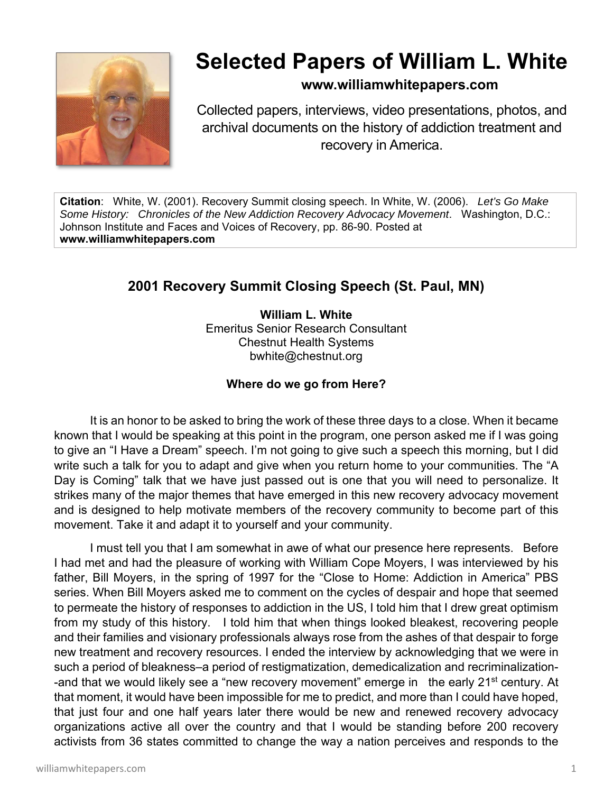

# **Selected Papers of William L. White**

# **www.williamwhitepapers.com**

Collected papers, interviews, video presentations, photos, and archival documents on the history of addiction treatment and recovery in America.

**Citation**: White, W. (2001). Recovery Summit closing speech. In White, W. (2006). *Let's Go Make Some History: Chronicles of the New Addiction Recovery Advocacy Movement*. Washington, D.C.: Johnson Institute and Faces and Voices of Recovery, pp. 86-90. Posted at **www.williamwhitepapers.com** 

# **2001 Recovery Summit Closing Speech (St. Paul, MN)**

**William L. White**  Emeritus Senior Research Consultant Chestnut Health Systems bwhite@chestnut.org

# **Where do we go from Here?**

 It is an honor to be asked to bring the work of these three days to a close. When it became known that I would be speaking at this point in the program, one person asked me if I was going to give an "I Have a Dream" speech. I'm not going to give such a speech this morning, but I did write such a talk for you to adapt and give when you return home to your communities. The "A Day is Coming" talk that we have just passed out is one that you will need to personalize. It strikes many of the major themes that have emerged in this new recovery advocacy movement and is designed to help motivate members of the recovery community to become part of this movement. Take it and adapt it to yourself and your community.

I must tell you that I am somewhat in awe of what our presence here represents. Before I had met and had the pleasure of working with William Cope Moyers, I was interviewed by his father, Bill Moyers, in the spring of 1997 for the "Close to Home: Addiction in America" PBS series. When Bill Moyers asked me to comment on the cycles of despair and hope that seemed to permeate the history of responses to addiction in the US, I told him that I drew great optimism from my study of this history. I told him that when things looked bleakest, recovering people and their families and visionary professionals always rose from the ashes of that despair to forge new treatment and recovery resources. I ended the interview by acknowledging that we were in such a period of bleakness–a period of restigmatization, demedicalization and recriminalization- -and that we would likely see a "new recovery movement" emerge in the early 21<sup>st</sup> century. At that moment, it would have been impossible for me to predict, and more than I could have hoped, that just four and one half years later there would be new and renewed recovery advocacy organizations active all over the country and that I would be standing before 200 recovery activists from 36 states committed to change the way a nation perceives and responds to the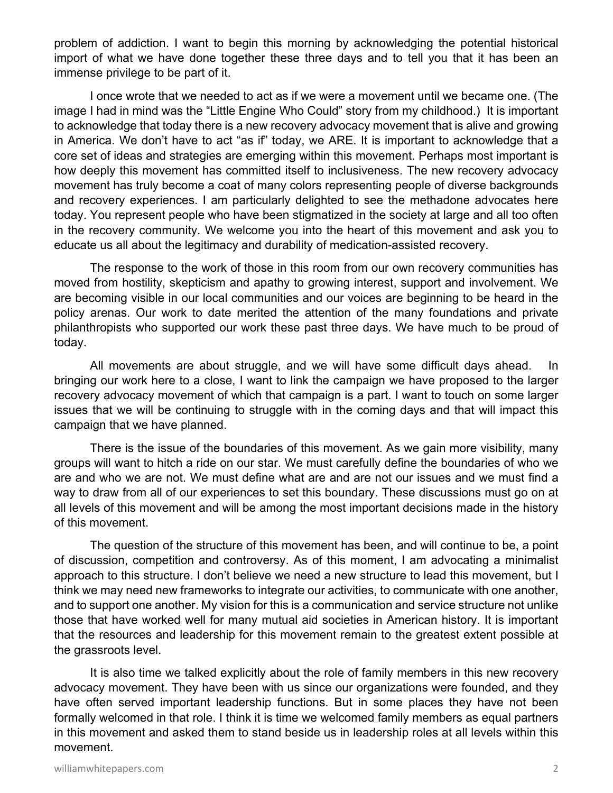problem of addiction. I want to begin this morning by acknowledging the potential historical import of what we have done together these three days and to tell you that it has been an immense privilege to be part of it.

 I once wrote that we needed to act as if we were a movement until we became one. (The image I had in mind was the "Little Engine Who Could" story from my childhood.) It is important to acknowledge that today there is a new recovery advocacy movement that is alive and growing in America. We don't have to act "as if" today, we ARE. It is important to acknowledge that a core set of ideas and strategies are emerging within this movement. Perhaps most important is how deeply this movement has committed itself to inclusiveness. The new recovery advocacy movement has truly become a coat of many colors representing people of diverse backgrounds and recovery experiences. I am particularly delighted to see the methadone advocates here today. You represent people who have been stigmatized in the society at large and all too often in the recovery community. We welcome you into the heart of this movement and ask you to educate us all about the legitimacy and durability of medication-assisted recovery.

 The response to the work of those in this room from our own recovery communities has moved from hostility, skepticism and apathy to growing interest, support and involvement. We are becoming visible in our local communities and our voices are beginning to be heard in the policy arenas. Our work to date merited the attention of the many foundations and private philanthropists who supported our work these past three days. We have much to be proud of today.

 All movements are about struggle, and we will have some difficult days ahead. In bringing our work here to a close, I want to link the campaign we have proposed to the larger recovery advocacy movement of which that campaign is a part. I want to touch on some larger issues that we will be continuing to struggle with in the coming days and that will impact this campaign that we have planned.

 There is the issue of the boundaries of this movement. As we gain more visibility, many groups will want to hitch a ride on our star. We must carefully define the boundaries of who we are and who we are not. We must define what are and are not our issues and we must find a way to draw from all of our experiences to set this boundary. These discussions must go on at all levels of this movement and will be among the most important decisions made in the history of this movement.

 The question of the structure of this movement has been, and will continue to be, a point of discussion, competition and controversy. As of this moment, I am advocating a minimalist approach to this structure. I don't believe we need a new structure to lead this movement, but I think we may need new frameworks to integrate our activities, to communicate with one another, and to support one another. My vision for this is a communication and service structure not unlike those that have worked well for many mutual aid societies in American history. It is important that the resources and leadership for this movement remain to the greatest extent possible at the grassroots level.

 It is also time we talked explicitly about the role of family members in this new recovery advocacy movement. They have been with us since our organizations were founded, and they have often served important leadership functions. But in some places they have not been formally welcomed in that role. I think it is time we welcomed family members as equal partners in this movement and asked them to stand beside us in leadership roles at all levels within this movement.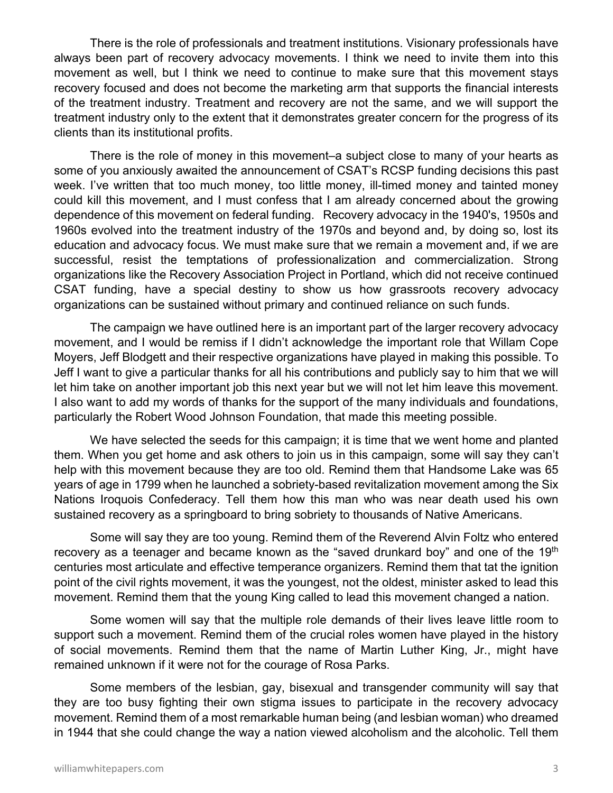There is the role of professionals and treatment institutions. Visionary professionals have always been part of recovery advocacy movements. I think we need to invite them into this movement as well, but I think we need to continue to make sure that this movement stays recovery focused and does not become the marketing arm that supports the financial interests of the treatment industry. Treatment and recovery are not the same, and we will support the treatment industry only to the extent that it demonstrates greater concern for the progress of its clients than its institutional profits.

 There is the role of money in this movement–a subject close to many of your hearts as some of you anxiously awaited the announcement of CSAT's RCSP funding decisions this past week. I've written that too much money, too little money, ill-timed money and tainted money could kill this movement, and I must confess that I am already concerned about the growing dependence of this movement on federal funding. Recovery advocacy in the 1940's, 1950s and 1960s evolved into the treatment industry of the 1970s and beyond and, by doing so, lost its education and advocacy focus. We must make sure that we remain a movement and, if we are successful, resist the temptations of professionalization and commercialization. Strong organizations like the Recovery Association Project in Portland, which did not receive continued CSAT funding, have a special destiny to show us how grassroots recovery advocacy organizations can be sustained without primary and continued reliance on such funds.

 The campaign we have outlined here is an important part of the larger recovery advocacy movement, and I would be remiss if I didn't acknowledge the important role that Willam Cope Moyers, Jeff Blodgett and their respective organizations have played in making this possible. To Jeff I want to give a particular thanks for all his contributions and publicly say to him that we will let him take on another important job this next year but we will not let him leave this movement. I also want to add my words of thanks for the support of the many individuals and foundations, particularly the Robert Wood Johnson Foundation, that made this meeting possible.

We have selected the seeds for this campaign; it is time that we went home and planted them. When you get home and ask others to join us in this campaign, some will say they can't help with this movement because they are too old. Remind them that Handsome Lake was 65 years of age in 1799 when he launched a sobriety-based revitalization movement among the Six Nations Iroquois Confederacy. Tell them how this man who was near death used his own sustained recovery as a springboard to bring sobriety to thousands of Native Americans.

 Some will say they are too young. Remind them of the Reverend Alvin Foltz who entered recovery as a teenager and became known as the "saved drunkard boy" and one of the 19<sup>th</sup> centuries most articulate and effective temperance organizers. Remind them that tat the ignition point of the civil rights movement, it was the youngest, not the oldest, minister asked to lead this movement. Remind them that the young King called to lead this movement changed a nation.

 Some women will say that the multiple role demands of their lives leave little room to support such a movement. Remind them of the crucial roles women have played in the history of social movements. Remind them that the name of Martin Luther King, Jr., might have remained unknown if it were not for the courage of Rosa Parks.

 Some members of the lesbian, gay, bisexual and transgender community will say that they are too busy fighting their own stigma issues to participate in the recovery advocacy movement. Remind them of a most remarkable human being (and lesbian woman) who dreamed in 1944 that she could change the way a nation viewed alcoholism and the alcoholic. Tell them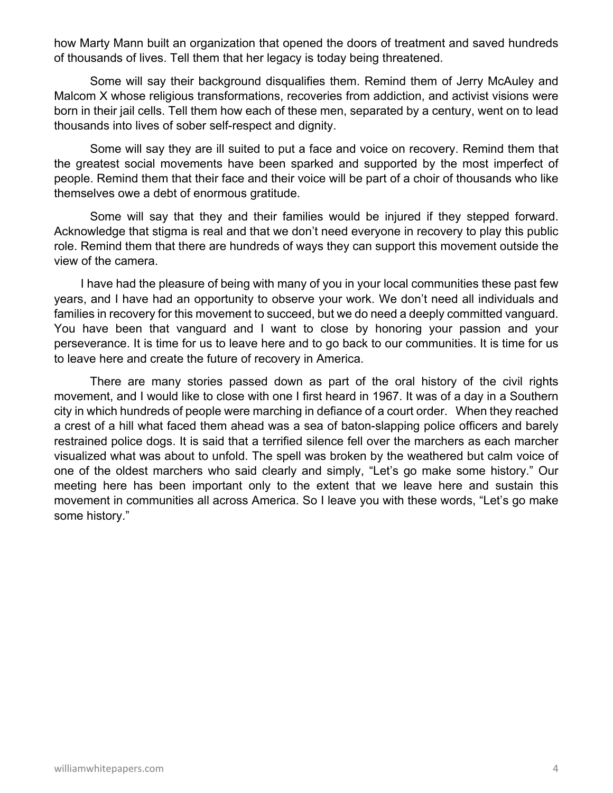how Marty Mann built an organization that opened the doors of treatment and saved hundreds of thousands of lives. Tell them that her legacy is today being threatened.

 Some will say their background disqualifies them. Remind them of Jerry McAuley and Malcom X whose religious transformations, recoveries from addiction, and activist visions were born in their jail cells. Tell them how each of these men, separated by a century, went on to lead thousands into lives of sober self-respect and dignity.

 Some will say they are ill suited to put a face and voice on recovery. Remind them that the greatest social movements have been sparked and supported by the most imperfect of people. Remind them that their face and their voice will be part of a choir of thousands who like themselves owe a debt of enormous gratitude.

 Some will say that they and their families would be injured if they stepped forward. Acknowledge that stigma is real and that we don't need everyone in recovery to play this public role. Remind them that there are hundreds of ways they can support this movement outside the view of the camera.

 I have had the pleasure of being with many of you in your local communities these past few years, and I have had an opportunity to observe your work. We don't need all individuals and families in recovery for this movement to succeed, but we do need a deeply committed vanguard. You have been that vanguard and I want to close by honoring your passion and your perseverance. It is time for us to leave here and to go back to our communities. It is time for us to leave here and create the future of recovery in America.

 There are many stories passed down as part of the oral history of the civil rights movement, and I would like to close with one I first heard in 1967. It was of a day in a Southern city in which hundreds of people were marching in defiance of a court order. When they reached a crest of a hill what faced them ahead was a sea of baton-slapping police officers and barely restrained police dogs. It is said that a terrified silence fell over the marchers as each marcher visualized what was about to unfold. The spell was broken by the weathered but calm voice of one of the oldest marchers who said clearly and simply, "Let's go make some history." Our meeting here has been important only to the extent that we leave here and sustain this movement in communities all across America. So I leave you with these words, "Let's go make some history."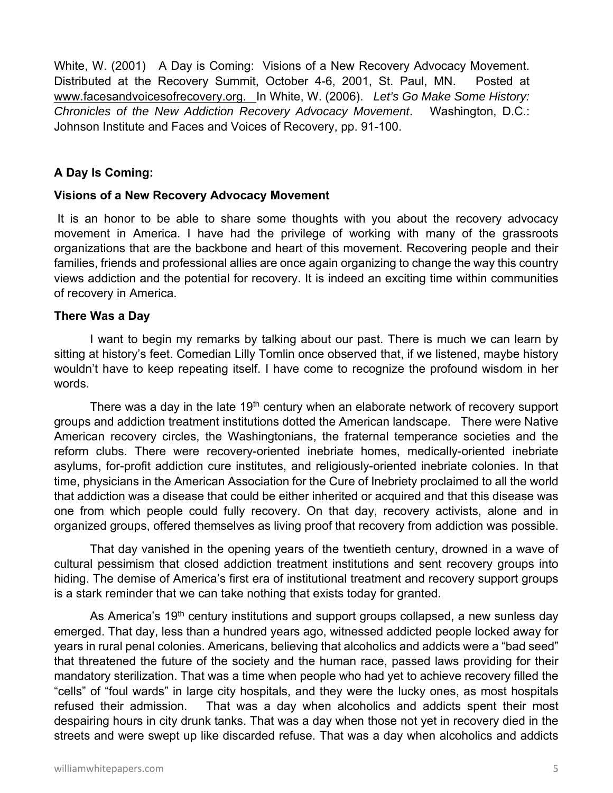White, W. (2001) A Day is Coming: Visions of a New Recovery Advocacy Movement. Distributed at the Recovery Summit, October 4-6, 2001, St. Paul, MN. Posted at www.facesandvoicesofrecovery.org. In White, W. (2006). *Let's Go Make Some History: Chronicles of the New Addiction Recovery Advocacy Movement*. Washington, D.C.: Johnson Institute and Faces and Voices of Recovery, pp. 91-100.

#### **A Day Is Coming:**

#### **Visions of a New Recovery Advocacy Movement**

 It is an honor to be able to share some thoughts with you about the recovery advocacy movement in America. I have had the privilege of working with many of the grassroots organizations that are the backbone and heart of this movement. Recovering people and their families, friends and professional allies are once again organizing to change the way this country views addiction and the potential for recovery. It is indeed an exciting time within communities of recovery in America.

#### **There Was a Day**

I want to begin my remarks by talking about our past. There is much we can learn by sitting at history's feet. Comedian Lilly Tomlin once observed that, if we listened, maybe history wouldn't have to keep repeating itself. I have come to recognize the profound wisdom in her words.

There was a day in the late 19<sup>th</sup> century when an elaborate network of recovery support groups and addiction treatment institutions dotted the American landscape. There were Native American recovery circles, the Washingtonians, the fraternal temperance societies and the reform clubs. There were recovery-oriented inebriate homes, medically-oriented inebriate asylums, for-profit addiction cure institutes, and religiously-oriented inebriate colonies. In that time, physicians in the American Association for the Cure of Inebriety proclaimed to all the world that addiction was a disease that could be either inherited or acquired and that this disease was one from which people could fully recovery. On that day, recovery activists, alone and in organized groups, offered themselves as living proof that recovery from addiction was possible.

That day vanished in the opening years of the twentieth century, drowned in a wave of cultural pessimism that closed addiction treatment institutions and sent recovery groups into hiding. The demise of America's first era of institutional treatment and recovery support groups is a stark reminder that we can take nothing that exists today for granted.

As America's 19<sup>th</sup> century institutions and support groups collapsed, a new sunless day emerged. That day, less than a hundred years ago, witnessed addicted people locked away for years in rural penal colonies. Americans, believing that alcoholics and addicts were a "bad seed" that threatened the future of the society and the human race, passed laws providing for their mandatory sterilization. That was a time when people who had yet to achieve recovery filled the "cells" of "foul wards" in large city hospitals, and they were the lucky ones, as most hospitals refused their admission. That was a day when alcoholics and addicts spent their most despairing hours in city drunk tanks. That was a day when those not yet in recovery died in the streets and were swept up like discarded refuse. That was a day when alcoholics and addicts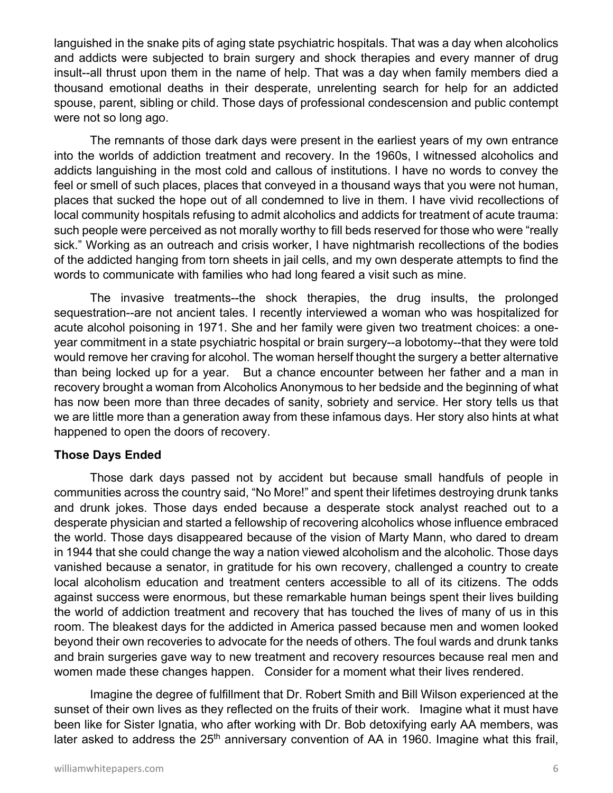languished in the snake pits of aging state psychiatric hospitals. That was a day when alcoholics and addicts were subjected to brain surgery and shock therapies and every manner of drug insult--all thrust upon them in the name of help. That was a day when family members died a thousand emotional deaths in their desperate, unrelenting search for help for an addicted spouse, parent, sibling or child. Those days of professional condescension and public contempt were not so long ago.

The remnants of those dark days were present in the earliest years of my own entrance into the worlds of addiction treatment and recovery. In the 1960s, I witnessed alcoholics and addicts languishing in the most cold and callous of institutions. I have no words to convey the feel or smell of such places, places that conveyed in a thousand ways that you were not human, places that sucked the hope out of all condemned to live in them. I have vivid recollections of local community hospitals refusing to admit alcoholics and addicts for treatment of acute trauma: such people were perceived as not morally worthy to fill beds reserved for those who were "really sick." Working as an outreach and crisis worker, I have nightmarish recollections of the bodies of the addicted hanging from torn sheets in jail cells, and my own desperate attempts to find the words to communicate with families who had long feared a visit such as mine.

The invasive treatments--the shock therapies, the drug insults, the prolonged sequestration--are not ancient tales. I recently interviewed a woman who was hospitalized for acute alcohol poisoning in 1971. She and her family were given two treatment choices: a oneyear commitment in a state psychiatric hospital or brain surgery--a lobotomy--that they were told would remove her craving for alcohol. The woman herself thought the surgery a better alternative than being locked up for a year. But a chance encounter between her father and a man in recovery brought a woman from Alcoholics Anonymous to her bedside and the beginning of what has now been more than three decades of sanity, sobriety and service. Her story tells us that we are little more than a generation away from these infamous days. Her story also hints at what happened to open the doors of recovery.

#### **Those Days Ended**

Those dark days passed not by accident but because small handfuls of people in communities across the country said, "No More!" and spent their lifetimes destroying drunk tanks and drunk jokes. Those days ended because a desperate stock analyst reached out to a desperate physician and started a fellowship of recovering alcoholics whose influence embraced the world. Those days disappeared because of the vision of Marty Mann, who dared to dream in 1944 that she could change the way a nation viewed alcoholism and the alcoholic. Those days vanished because a senator, in gratitude for his own recovery, challenged a country to create local alcoholism education and treatment centers accessible to all of its citizens. The odds against success were enormous, but these remarkable human beings spent their lives building the world of addiction treatment and recovery that has touched the lives of many of us in this room. The bleakest days for the addicted in America passed because men and women looked beyond their own recoveries to advocate for the needs of others. The foul wards and drunk tanks and brain surgeries gave way to new treatment and recovery resources because real men and women made these changes happen. Consider for a moment what their lives rendered.

Imagine the degree of fulfillment that Dr. Robert Smith and Bill Wilson experienced at the sunset of their own lives as they reflected on the fruits of their work. Imagine what it must have been like for Sister Ignatia, who after working with Dr. Bob detoxifying early AA members, was later asked to address the  $25<sup>th</sup>$  anniversary convention of AA in 1960. Imagine what this frail,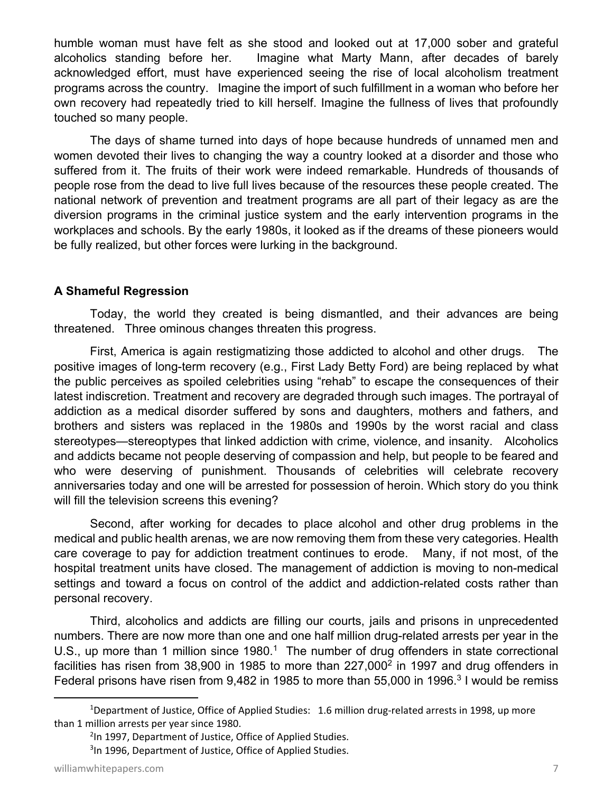humble woman must have felt as she stood and looked out at 17,000 sober and grateful alcoholics standing before her. Imagine what Marty Mann, after decades of barely acknowledged effort, must have experienced seeing the rise of local alcoholism treatment programs across the country. Imagine the import of such fulfillment in a woman who before her own recovery had repeatedly tried to kill herself. Imagine the fullness of lives that profoundly touched so many people.

The days of shame turned into days of hope because hundreds of unnamed men and women devoted their lives to changing the way a country looked at a disorder and those who suffered from it. The fruits of their work were indeed remarkable. Hundreds of thousands of people rose from the dead to live full lives because of the resources these people created. The national network of prevention and treatment programs are all part of their legacy as are the diversion programs in the criminal justice system and the early intervention programs in the workplaces and schools. By the early 1980s, it looked as if the dreams of these pioneers would be fully realized, but other forces were lurking in the background.

#### **A Shameful Regression**

Today, the world they created is being dismantled, and their advances are being threatened. Three ominous changes threaten this progress.

First, America is again restigmatizing those addicted to alcohol and other drugs. The positive images of long-term recovery (e.g., First Lady Betty Ford) are being replaced by what the public perceives as spoiled celebrities using "rehab" to escape the consequences of their latest indiscretion. Treatment and recovery are degraded through such images. The portrayal of addiction as a medical disorder suffered by sons and daughters, mothers and fathers, and brothers and sisters was replaced in the 1980s and 1990s by the worst racial and class stereotypes—stereoptypes that linked addiction with crime, violence, and insanity. Alcoholics and addicts became not people deserving of compassion and help, but people to be feared and who were deserving of punishment. Thousands of celebrities will celebrate recovery anniversaries today and one will be arrested for possession of heroin. Which story do you think will fill the television screens this evening?

Second, after working for decades to place alcohol and other drug problems in the medical and public health arenas, we are now removing them from these very categories. Health care coverage to pay for addiction treatment continues to erode. Many, if not most, of the hospital treatment units have closed. The management of addiction is moving to non-medical settings and toward a focus on control of the addict and addiction-related costs rather than personal recovery.

Third, alcoholics and addicts are filling our courts, jails and prisons in unprecedented numbers. There are now more than one and one half million drug-related arrests per year in the U.S., up more than 1 million since  $1980<sup>1</sup>$ . The number of drug offenders in state correctional facilities has risen from 38,900 in 1985 to more than 227,000<sup>2</sup> in 1997 and drug offenders in Federal prisons have risen from  $9,482$  in 1985 to more than 55,000 in 1996.<sup>3</sup> I would be remiss

<sup>&</sup>lt;sup>1</sup>Department of Justice, Office of Applied Studies: 1.6 million drug-related arrests in 1998, up more than 1 million arrests per year since 1980.

<sup>&</sup>lt;sup>2</sup>In 1997, Department of Justice, Office of Applied Studies.

<sup>&</sup>lt;sup>3</sup>In 1996, Department of Justice, Office of Applied Studies.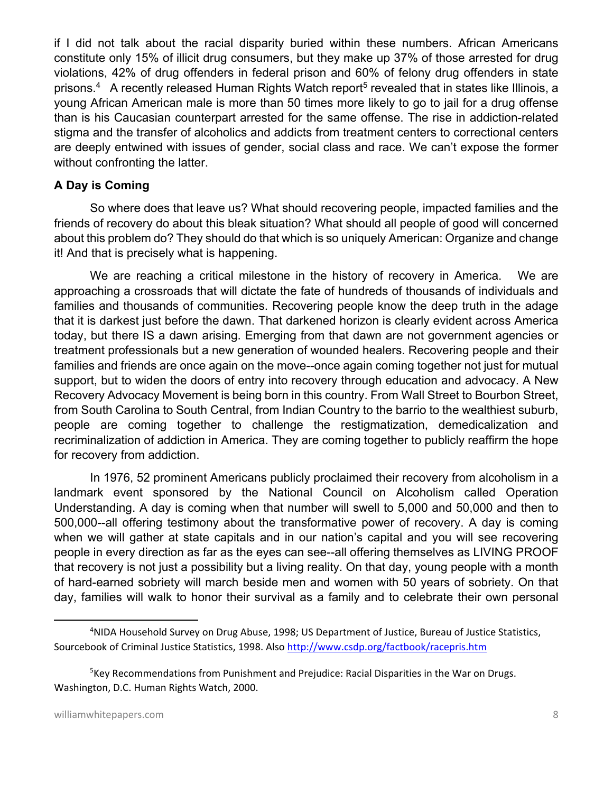if I did not talk about the racial disparity buried within these numbers. African Americans constitute only 15% of illicit drug consumers, but they make up 37% of those arrested for drug violations, 42% of drug offenders in federal prison and 60% of felony drug offenders in state prisons.<sup>4</sup> A recently released Human Rights Watch report<sup>5</sup> revealed that in states like Illinois, a young African American male is more than 50 times more likely to go to jail for a drug offense than is his Caucasian counterpart arrested for the same offense. The rise in addiction-related stigma and the transfer of alcoholics and addicts from treatment centers to correctional centers are deeply entwined with issues of gender, social class and race. We can't expose the former without confronting the latter.

## **A Day is Coming**

So where does that leave us? What should recovering people, impacted families and the friends of recovery do about this bleak situation? What should all people of good will concerned about this problem do? They should do that which is so uniquely American: Organize and change it! And that is precisely what is happening.

We are reaching a critical milestone in the history of recovery in America. We are approaching a crossroads that will dictate the fate of hundreds of thousands of individuals and families and thousands of communities. Recovering people know the deep truth in the adage that it is darkest just before the dawn. That darkened horizon is clearly evident across America today, but there IS a dawn arising. Emerging from that dawn are not government agencies or treatment professionals but a new generation of wounded healers. Recovering people and their families and friends are once again on the move--once again coming together not just for mutual support, but to widen the doors of entry into recovery through education and advocacy. A New Recovery Advocacy Movement is being born in this country. From Wall Street to Bourbon Street, from South Carolina to South Central, from Indian Country to the barrio to the wealthiest suburb, people are coming together to challenge the restigmatization, demedicalization and recriminalization of addiction in America. They are coming together to publicly reaffirm the hope for recovery from addiction.

In 1976, 52 prominent Americans publicly proclaimed their recovery from alcoholism in a landmark event sponsored by the National Council on Alcoholism called Operation Understanding. A day is coming when that number will swell to 5,000 and 50,000 and then to 500,000--all offering testimony about the transformative power of recovery. A day is coming when we will gather at state capitals and in our nation's capital and you will see recovering people in every direction as far as the eyes can see--all offering themselves as LIVING PROOF that recovery is not just a possibility but a living reality. On that day, young people with a month of hard-earned sobriety will march beside men and women with 50 years of sobriety. On that day, families will walk to honor their survival as a family and to celebrate their own personal

<sup>&</sup>lt;sup>4</sup>NIDA Household Survey on Drug Abuse, 1998; US Department of Justice, Bureau of Justice Statistics, Sourcebook of Criminal Justice Statistics, 1998. Also http://www.csdp.org/factbook/racepris.htm

<sup>&</sup>lt;sup>5</sup>Key Recommendations from Punishment and Prejudice: Racial Disparities in the War on Drugs. Washington, D.C. Human Rights Watch, 2000.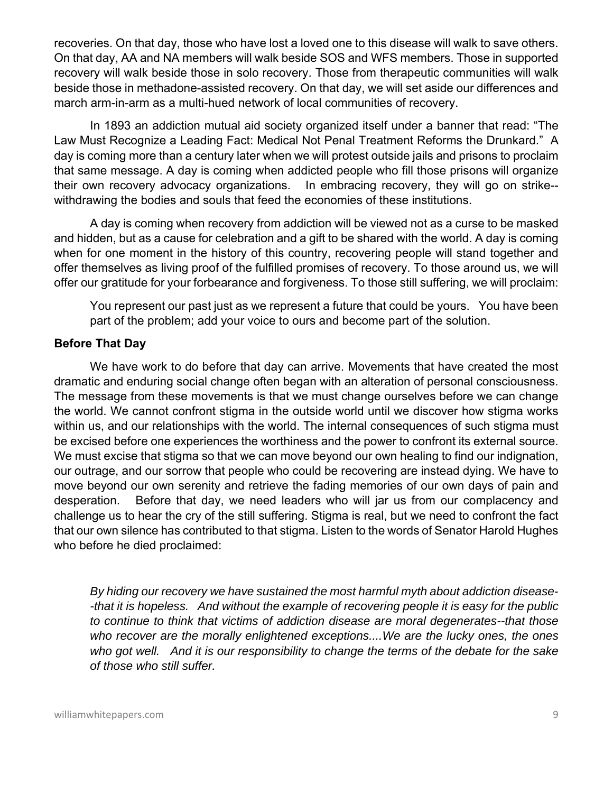recoveries. On that day, those who have lost a loved one to this disease will walk to save others. On that day, AA and NA members will walk beside SOS and WFS members. Those in supported recovery will walk beside those in solo recovery. Those from therapeutic communities will walk beside those in methadone-assisted recovery. On that day, we will set aside our differences and march arm-in-arm as a multi-hued network of local communities of recovery.

In 1893 an addiction mutual aid society organized itself under a banner that read: "The Law Must Recognize a Leading Fact: Medical Not Penal Treatment Reforms the Drunkard." A day is coming more than a century later when we will protest outside jails and prisons to proclaim that same message. A day is coming when addicted people who fill those prisons will organize their own recovery advocacy organizations. In embracing recovery, they will go on strike- withdrawing the bodies and souls that feed the economies of these institutions.

A day is coming when recovery from addiction will be viewed not as a curse to be masked and hidden, but as a cause for celebration and a gift to be shared with the world. A day is coming when for one moment in the history of this country, recovering people will stand together and offer themselves as living proof of the fulfilled promises of recovery. To those around us, we will offer our gratitude for your forbearance and forgiveness. To those still suffering, we will proclaim:

You represent our past just as we represent a future that could be yours. You have been part of the problem; add your voice to ours and become part of the solution.

### **Before That Day**

We have work to do before that day can arrive. Movements that have created the most dramatic and enduring social change often began with an alteration of personal consciousness. The message from these movements is that we must change ourselves before we can change the world. We cannot confront stigma in the outside world until we discover how stigma works within us, and our relationships with the world. The internal consequences of such stigma must be excised before one experiences the worthiness and the power to confront its external source. We must excise that stigma so that we can move beyond our own healing to find our indignation, our outrage, and our sorrow that people who could be recovering are instead dying. We have to move beyond our own serenity and retrieve the fading memories of our own days of pain and desperation. Before that day, we need leaders who will jar us from our complacency and challenge us to hear the cry of the still suffering. Stigma is real, but we need to confront the fact that our own silence has contributed to that stigma. Listen to the words of Senator Harold Hughes who before he died proclaimed:

*By hiding our recovery we have sustained the most harmful myth about addiction disease- -that it is hopeless. And without the example of recovering people it is easy for the public to continue to think that victims of addiction disease are moral degenerates--that those who recover are the morally enlightened exceptions....We are the lucky ones, the ones who got well. And it is our responsibility to change the terms of the debate for the sake of those who still suffer.*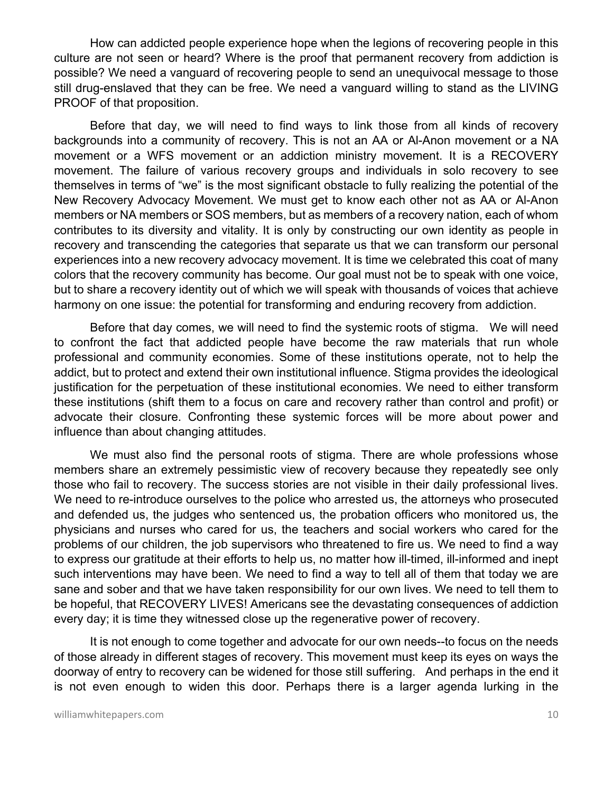How can addicted people experience hope when the legions of recovering people in this culture are not seen or heard? Where is the proof that permanent recovery from addiction is possible? We need a vanguard of recovering people to send an unequivocal message to those still drug-enslaved that they can be free. We need a vanguard willing to stand as the LIVING PROOF of that proposition.

Before that day, we will need to find ways to link those from all kinds of recovery backgrounds into a community of recovery. This is not an AA or Al-Anon movement or a NA movement or a WFS movement or an addiction ministry movement. It is a RECOVERY movement. The failure of various recovery groups and individuals in solo recovery to see themselves in terms of "we" is the most significant obstacle to fully realizing the potential of the New Recovery Advocacy Movement. We must get to know each other not as AA or Al-Anon members or NA members or SOS members, but as members of a recovery nation, each of whom contributes to its diversity and vitality. It is only by constructing our own identity as people in recovery and transcending the categories that separate us that we can transform our personal experiences into a new recovery advocacy movement. It is time we celebrated this coat of many colors that the recovery community has become. Our goal must not be to speak with one voice, but to share a recovery identity out of which we will speak with thousands of voices that achieve harmony on one issue: the potential for transforming and enduring recovery from addiction.

Before that day comes, we will need to find the systemic roots of stigma. We will need to confront the fact that addicted people have become the raw materials that run whole professional and community economies. Some of these institutions operate, not to help the addict, but to protect and extend their own institutional influence. Stigma provides the ideological justification for the perpetuation of these institutional economies. We need to either transform these institutions (shift them to a focus on care and recovery rather than control and profit) or advocate their closure. Confronting these systemic forces will be more about power and influence than about changing attitudes.

We must also find the personal roots of stigma. There are whole professions whose members share an extremely pessimistic view of recovery because they repeatedly see only those who fail to recovery. The success stories are not visible in their daily professional lives. We need to re-introduce ourselves to the police who arrested us, the attorneys who prosecuted and defended us, the judges who sentenced us, the probation officers who monitored us, the physicians and nurses who cared for us, the teachers and social workers who cared for the problems of our children, the job supervisors who threatened to fire us. We need to find a way to express our gratitude at their efforts to help us, no matter how ill-timed, ill-informed and inept such interventions may have been. We need to find a way to tell all of them that today we are sane and sober and that we have taken responsibility for our own lives. We need to tell them to be hopeful, that RECOVERY LIVES! Americans see the devastating consequences of addiction every day; it is time they witnessed close up the regenerative power of recovery.

It is not enough to come together and advocate for our own needs--to focus on the needs of those already in different stages of recovery. This movement must keep its eyes on ways the doorway of entry to recovery can be widened for those still suffering. And perhaps in the end it is not even enough to widen this door. Perhaps there is a larger agenda lurking in the